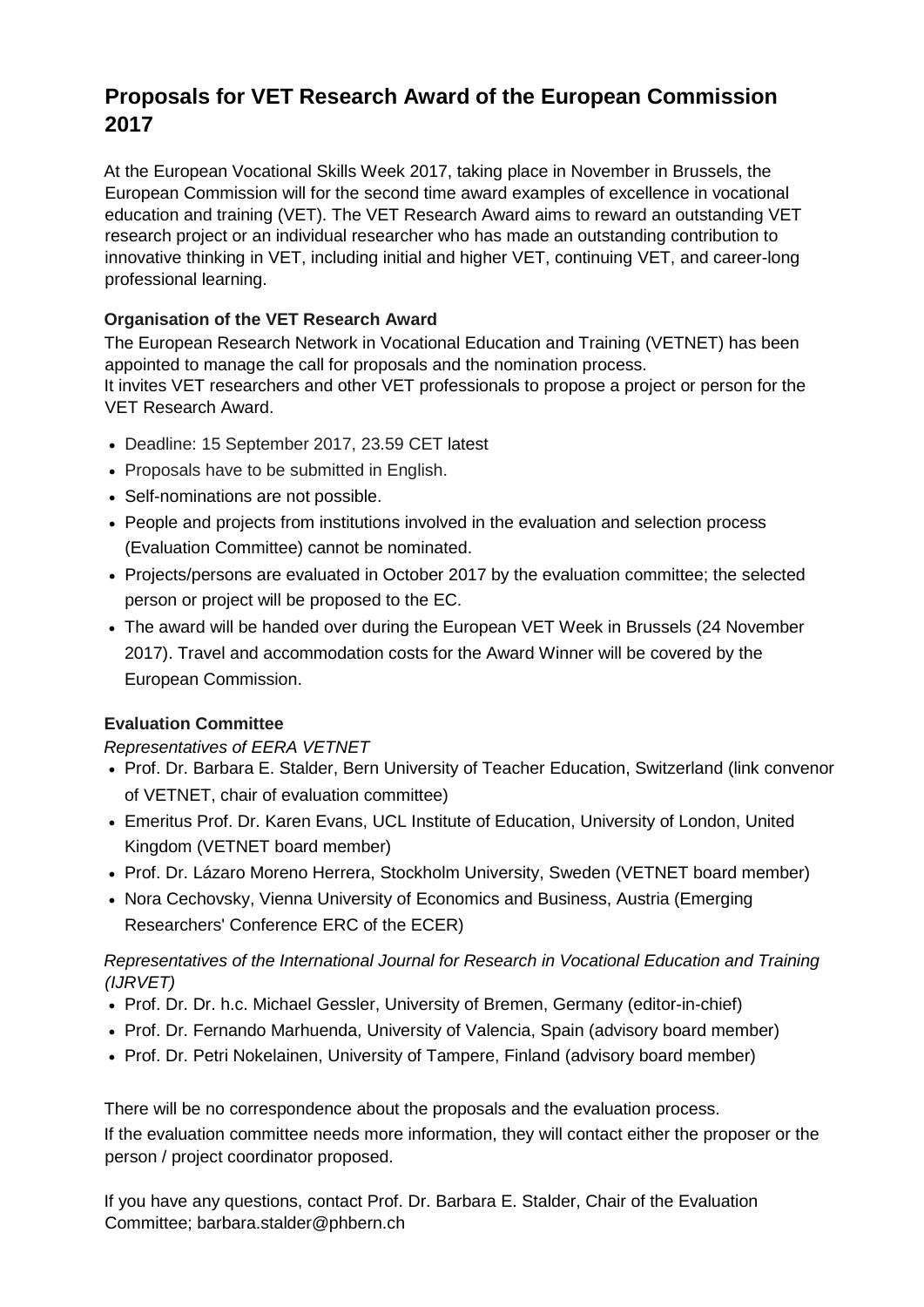# **Proposals for VET Research Award of the European Commission 2017 Proposals for VET** Research Award of the European Company Company Company Company Company Company Company Company Company Company Company Company Company Company Company Company Company Company Company Company Comp

At the European Vocational Skills Week 2017, taking place in November in Brussels, the European Commission will for the second time award examples of excellence in vocational education and training (VET). The VET Research Award aims to reward an outstanding VET research project or an individual researcher who has made an outstanding contribution to innovative thinking in VET, including initial and higher VET, continuing VET, and career-long professional learning.

#### **Organisation of the VET Research Award**

The European Research Network in Vocational Education and Training (VETNET) has been appointed to manage the call for proposals and the nomination process.

It invites VET researchers and other VET professionals to propose a project or person for the VET Research Award.

- Deadline: 15 September 2017, 23.59 CET latest
- Proposals have to be submitted in English.
- Self-nominations are not possible.
- People and projects from institutions involved in the evaluation and selection process (Evaluation Committee) cannot be nominated.
- Projects/persons are evaluated in October 2017 by the evaluation committee; the selected person or project will be proposed to the EC.
- The award will be handed over during the European VET Week in Brussels (24 November 2017). Travel and accommodation costs for the Award Winner will be covered by the European Commission.

### **Evaluation Committee**

#### *Representatives of EERA VETNET*

- Prof. Dr. Barbara E. Stalder, Bern University of Teacher Education, Switzerland (link convenor of VETNET, chair of evaluation committee)
- Emeritus Prof. Dr. Karen Evans, UCL Institute of Education, University of London, United Kingdom (VETNET board member)
- Prof. Dr. Lázaro Moreno Herrera, Stockholm University, Sweden (VETNET board member)
- Nora Cechovsky, Vienna University of Economics and Business, Austria (Emerging Researchers' Conference ERC of the ECER)

### *Representatives of the International Journal for Research in Vocational Education and Training (IJRVET)*

- Prof. Dr. Dr. h.c. Michael Gessler, University of Bremen, Germany (editor-in-chief)
- Prof. Dr. Fernando Marhuenda, University of Valencia, Spain (advisory board member)
- Prof. Dr. Petri Nokelainen, University of Tampere, Finland (advisory board member)

There will be no correspondence about the proposals and the evaluation process. If the evaluation committee needs more information, they will contact either the proposer or the person / project coordinator proposed.

If you have any questions, contact Prof. Dr. Barbara E. Stalder, Chair of the Evaluation Committee; barbara.stalder@phbern.ch